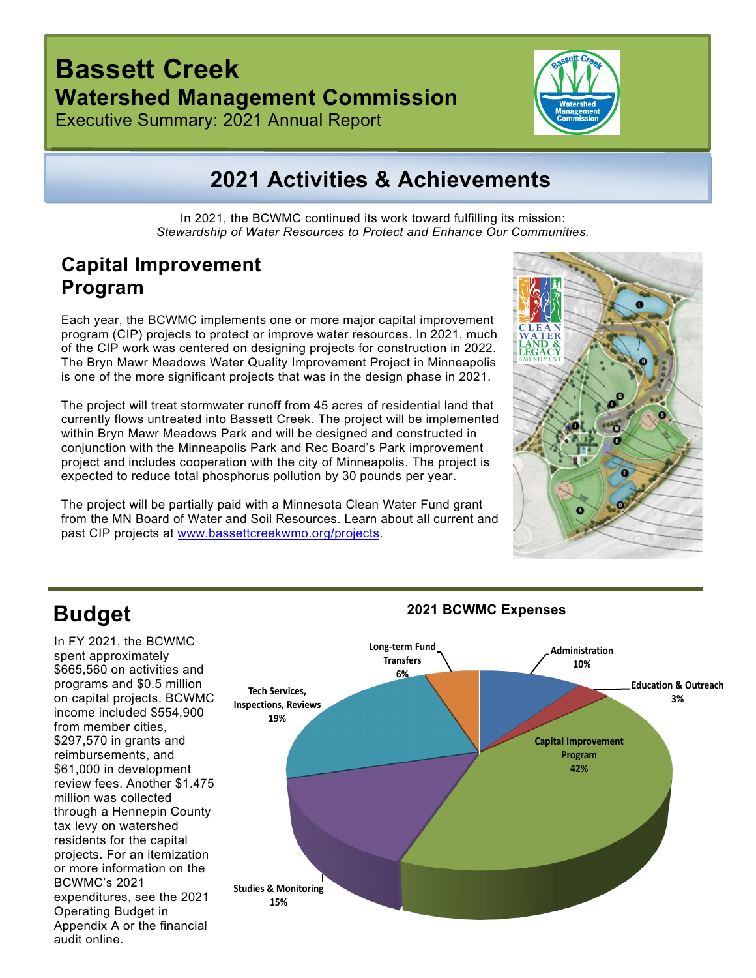## **Bassett Creek Watershed Management Commission**

Executive Summary: 2021 Annual Report



## **2021 Activities & Achievements**

In 2021, the BCWMC continued its work toward fulfilling its mission: *Stewardship of Water Resources to Protect and Enhance Our Communities.*

### **Capital Improvement Program**

Each year, the BCWMC implements one or more major capital improvement program (CIP) projects to protect or improve water resources. In 2021, much of the CIP work was centered on designing projects for construction in 2022. The Bryn Mawr Meadows Water Quality Improvement Project in Minneapolis is one of the more significant projects that was in the design phase in 2021.

The project will treat stormwater runoff from 45 acres of residential land that currently flows untreated into Bassett Creek. The project will be implemented within Bryn Mawr Meadows Park and will be designed and constructed in conjunction with the Minneapolis Park and Rec Board's Park improvement project and includes cooperation with the city of Minneapolis. The project is expected to reduce total phosphorus pollution by 30 pounds per year.

The project will be partially paid with a Minnesota Clean Water Fund grant from the MN Board of Water and Soil Resources. Learn about all current and past CIP projects at [www.bassettcreekwmo.org/projects.](http://www.bassettcreekwmo.org/projects)



## **Budget**

In FY 2021, the BCWMC spent approximately \$665,560 on activities and programs and \$0.5 million on capital projects. BCWMC income included \$554,900 from member cities, \$297,570 in grants and reimbursements, and \$61,000 in development review fees. Another \$1.475 million was collected through a Hennepin County tax levy on watershed residents for the capital projects. For an itemization or more information on the BCWMC's 2021 expenditures, see the 2021 Operating Budget in Appendix A or the financial audit online.

#### **Administration 10% Education & Outreach 3% Capital Improvement Program 42% Studies & Monitoring 15% Tech Services, Inspections, Reviews 19% Long-term Fund Transfers 6%**

#### **2021 BCWMC Expenses**